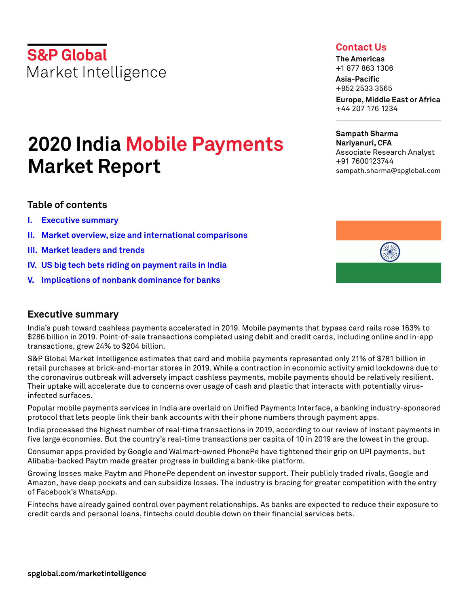**S&P Global** Market Intelligence

# **2020 India Mobile Payments Market Report**

## **Table of contents**

- **I. [Executive summary](#page-0-0)**
- **II. [Market overview, size and international comparisons](#page-1-0)**
- **III. [Market leaders and trends](#page-7-0)**
- **IV. [US big tech bets riding on payment rails in India](#page-11-0)**
- **V. [Implications of nonbank dominance for banks](#page-16-0)**

## <span id="page-0-0"></span>**Executive summary**

India's push toward cashless payments accelerated in 2019. Mobile payments that bypass card rails rose 163% to \$286 billion in 2019. Point-of-sale transactions completed using debit and credit cards, including online and in-app transactions, grew 24% to \$204 billion.

S&P Global Market Intelligence estimates that card and mobile payments represented only 21% of \$781 billion in retail purchases at brick-and-mortar stores in 2019. While a contraction in economic activity amid lockdowns due to the coronavirus outbreak will adversely impact cashless payments, mobile payments should be relatively resilient. Their uptake will accelerate due to concerns over usage of cash and plastic that interacts with potentially virusinfected surfaces.

Popular mobile payments services in India are overlaid on Unified Payments Interface, a banking industry-sponsored protocol that lets people link their bank accounts with their phone numbers through payment apps.

India processed the highest number of real-time transactions in 2019, according to our review of instant payments in five large economies. But the country's real-time transactions per capita of 10 in 2019 are the lowest in the group.

Consumer apps provided by Google and Walmart-owned PhonePe have tightened their grip on UPI payments, but Alibaba-backed Paytm made greater progress in building a bank-like platform.

Growing losses make Paytm and PhonePe dependent on investor support. Their publicly traded rivals, Google and Amazon, have deep pockets and can subsidize losses. The industry is bracing for greater competition with the entry of Facebook's WhatsApp.

Fintechs have already gained control over payment relationships. As banks are expected to reduce their exposure to credit cards and personal loans, fintechs could double down on their financial services bets.

# **Contact Us**

**The Americas** +1 877 863 1306

**Asia-Pacific** +852 2533 3565

**Europe, Middle East or Africa** +44 207 176 1234

**Sampath Sharma Nariyanuri, CFA** Associate Research Analyst +91 7600123744 sampath.sharma@spglobal.com

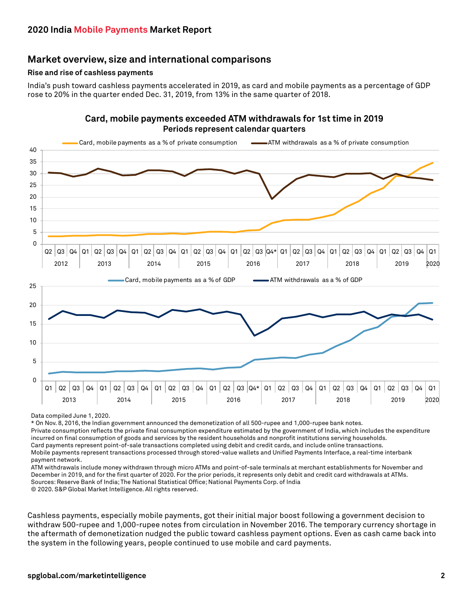## <span id="page-1-0"></span>**Market overview, size and international comparisons**

#### **Rise and rise of cashless payments**

India's push toward cashless payments accelerated in 2019, as card and mobile payments as a percentage of GDP rose to 20% in the quarter ended Dec. 31, 2019, from 13% in the same quarter of 2018.

#### **Card, mobile payments exceeded ATM withdrawals for 1st time in 2019 Periods represent calendar quarters**



Data compiled June 1, 2020.

\* On Nov. 8, 2016, the Indian government announced the demonetization of all 500-rupee and 1,000-rupee bank notes.

Private consumption reflects the private final consumption expenditure estimated by the government of India, which includes the expenditure incurred on final consumption of goods and services by the resident households and nonprofit institutions serving households.

Card payments represent point-of-sale transactions completed using debit and credit cards, and include online transactions.

Mobile payments represent transactions processed through stored-value wallets and Unified Payments Interface, a real-time interbank payment network.

ATM withdrawals include money withdrawn through micro ATMs and point-of-sale terminals at merchant establishments for November and December in 2019, and for the first quarter of 2020. For the prior periods, it represents only debit and credit card withdrawals at ATMs. Sources: Reserve Bank of India; The National Statistical Office; National Payments Corp. of India © 2020. S&P Global Market Intelligence. All rights reserved.

Cashless payments, especially mobile payments, got their initial major boost following a government decision to withdraw 500-rupee and 1,000-rupee notes from circulation in November 2016. The temporary currency shortage in the aftermath of demonetization nudged the public toward cashless payment options. Even as cash came back into the system in the following years, people continued to use mobile and card payments.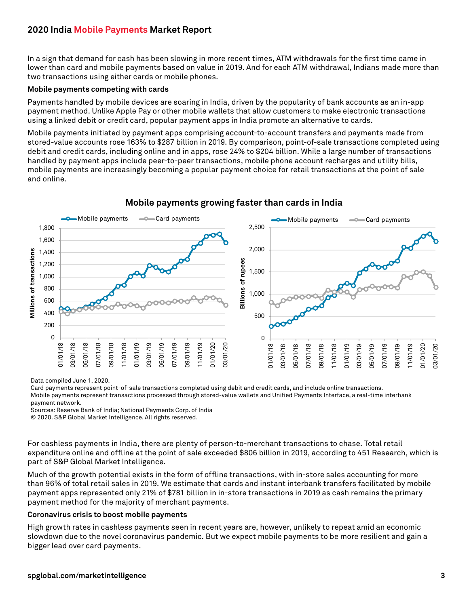In a sign that demand for cash has been slowing in more recent times, ATM withdrawals for the first time came in lower than card and mobile payments based on value in 2019. And for each ATM withdrawal, Indians made more than two transactions using either cards or mobile phones.

#### **Mobile payments competing with cards**

Payments handled by mobile devices are soaring in India, driven by the popularity of bank accounts as an in-app payment method. Unlike Apple Pay or other mobile wallets that allow customers to make electronic transactions using a linked debit or credit card, popular payment apps in India promote an alternative to cards.

Mobile payments initiated by payment apps comprising account-to-account transfers and payments made from stored-value accounts rose 163% to \$287 billion in 2019. By comparison, point-of-sale transactions completed using debit and credit cards, including online and in apps, rose 24% to \$204 billion. While a large number of transactions handled by payment apps include peer-to-peer transactions, mobile phone account recharges and utility bills, mobile payments are increasingly becoming a popular payment choice for retail transactions at the point of sale and online.



#### **Mobile payments growing faster than cards in India**

Data compiled June 1, 2020.

Card payments represent point-of-sale transactions completed using debit and credit cards, and include online transactions. Mobile payments represent transactions processed through stored-value wallets and Unified Payments Interface, a real-time interbank payment network.

Sources: Reserve Bank of India; National Payments Corp. of India

© 2020. S&P Global Market Intelligence. All rights reserved.

For cashless payments in India, there are plenty of person-to-merchant transactions to chase. Total retail expenditure online and offline at the point of sale exceeded \$806 billion in 2019, according to 451 Research, which is part of S&P Global Market Intelligence.

Much of the growth potential exists in the form of offline transactions, with in-store sales accounting for more than 96% of total retail sales in 2019. We estimate that cards and instant interbank transfers facilitated by mobile payment apps represented only 21% of \$781 billion in in-store transactions in 2019 as cash remains the primary payment method for the majority of merchant payments.

#### **Coronavirus crisis to boost mobile payments**

High growth rates in cashless payments seen in recent years are, however, unlikely to repeat amid an economic slowdown due to the novel coronavirus pandemic. But we expect mobile payments to be more resilient and gain a bigger lead over card payments.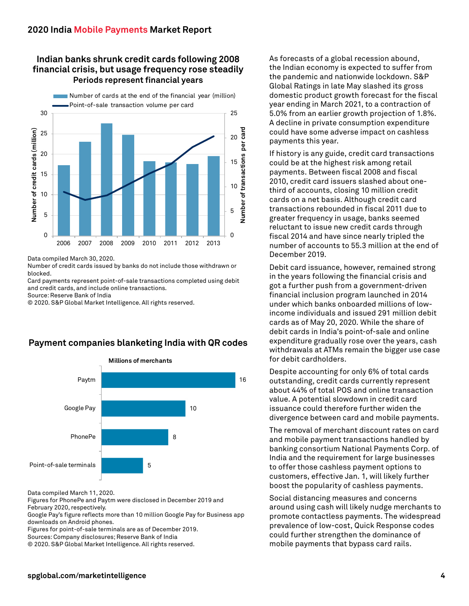## **Indian banks shrunk credit cards following 2008 financial crisis, but usage frequency rose steadily Periods represent financial years**



Data compiled March 30, 2020.

Number of credit cards issued by banks do not include those withdrawn or blocked.

Card payments represent point-of-sale transactions completed using debit and credit cards, and include online transactions.

Source: Reserve Bank of India

© 2020. S&P Global Market Intelligence. All rights reserved.

## **Payment companies blanketing India with QR codes**



Data compiled March 11, 2020.

Figures for PhonePe and Paytm were disclosed in December 2019 and February 2020, respectively.

Google Pay's figure reflects more than 10 million Google Pay for Business app downloads on Android phones.

Figures for point-of-sale terminals are as of December 2019. Sources: Company disclosures; Reserve Bank of India

© 2020. S&P Global Market Intelligence. All rights reserved.

As forecasts of a global recession abound, the Indian economy is expected to suffer from the pandemic and nationwide lockdown. S&P Global Ratings in late May slashed its gross domestic product growth forecast for the fiscal year ending in March 2021, to a contraction of 5.0% from an earlier growth projection of 1.8%. A decline in private consumption expenditure could have some adverse impact on cashless payments this year.

If history is any guide, credit card transactions could be at the highest risk among retail payments. Between fiscal 2008 and fiscal 2010, credit card issuers slashed about onethird of accounts, closing 10 million credit cards on a net basis. Although credit card transactions rebounded in fiscal 2011 due to greater frequency in usage, banks seemed reluctant to issue new credit cards through fiscal 2014 and have since nearly tripled the number of accounts to 55.3 million at the end of December 2019.

Debit card issuance, however, remained strong in the years following the financial crisis and got a further push from a government-driven financial inclusion program launched in 2014 under which banks onboarded millions of lowincome individuals and issued 291 million debit cards as of May 20, 2020. While the share of debit cards in India's point-of-sale and online expenditure gradually rose over the years, cash withdrawals at ATMs remain the bigger use case for debit cardholders.

Despite accounting for only 6% of total cards outstanding, credit cards currently represent about 44% of total POS and online transaction value. A potential slowdown in credit card issuance could therefore further widen the divergence between card and mobile payments.

The removal of merchant discount rates on card and mobile payment transactions handled by banking consortium National Payments Corp. of India and the requirement for large businesses to offer those cashless payment options to customers, effective Jan. 1, will likely further boost the popularity of cashless payments.

Social distancing measures and concerns around using cash will likely nudge merchants to promote contactless payments. The widespread prevalence of low-cost, Quick Response codes could further strengthen the dominance of mobile payments that bypass card rails.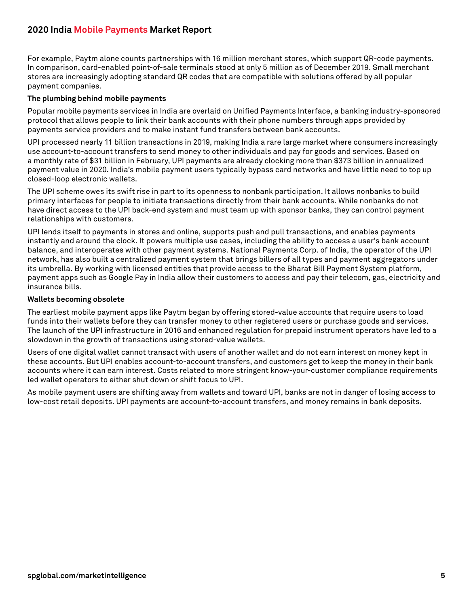For example, Paytm alone counts partnerships with 16 million merchant stores, which support QR-code payments. In comparison, card-enabled point-of-sale terminals stood at only 5 million as of December 2019. Small merchant stores are increasingly adopting standard QR codes that are compatible with solutions offered by all popular payment companies.

#### **The plumbing behind mobile payments**

Popular mobile payments services in India are overlaid on Unified Payments Interface, a banking industry-sponsored protocol that allows people to link their bank accounts with their phone numbers through apps provided by payments service providers and to make instant fund transfers between bank accounts.

UPI processed nearly 11 billion transactions in 2019, making India a rare large market where consumers increasingly use account-to-account transfers to send money to other individuals and pay for goods and services. Based on a monthly rate of \$31 billion in February, UPI payments are already clocking more than \$373 billion in annualized payment value in 2020. India's mobile payment users typically bypass card networks and have little need to top up closed-loop electronic wallets.

The UPI scheme owes its swift rise in part to its openness to nonbank participation. It allows nonbanks to build primary interfaces for people to initiate transactions directly from their bank accounts. While nonbanks do not have direct access to the UPI back-end system and must team up with sponsor banks, they can control payment relationships with customers.

UPI lends itself to payments in stores and online, supports push and pull transactions, and enables payments instantly and around the clock. It powers multiple use cases, including the ability to access a user's bank account balance, and interoperates with other payment systems. National Payments Corp. of India, the operator of the UPI network, has also built a centralized payment system that brings billers of all types and payment aggregators under its umbrella. By working with licensed entities that provide access to the Bharat Bill Payment System platform, payment apps such as Google Pay in India allow their customers to access and pay their telecom, gas, electricity and insurance bills.

#### **Wallets becoming obsolete**

The earliest mobile payment apps like Paytm began by offering stored-value accounts that require users to load funds into their wallets before they can transfer money to other registered users or purchase goods and services. The launch of the UPI infrastructure in 2016 and enhanced regulation for prepaid instrument operators have led to a slowdown in the growth of transactions using stored-value wallets.

Users of one digital wallet cannot transact with users of another wallet and do not earn interest on money kept in these accounts. But UPI enables account-to-account transfers, and customers get to keep the money in their bank accounts where it can earn interest. Costs related to more stringent know-your-customer compliance requirements led wallet operators to either shut down or shift focus to UPI.

As mobile payment users are shifting away from wallets and toward UPI, banks are not in danger of losing access to low-cost retail deposits. UPI payments are account-to-account transfers, and money remains in bank deposits.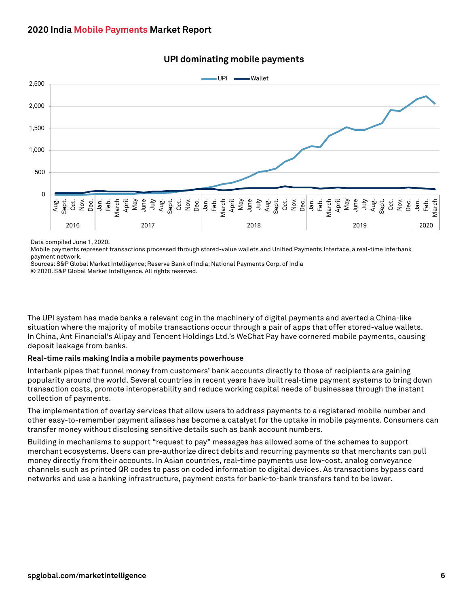

## **UPI dominating mobile payments**

Data compiled June 1, 2020.

Mobile payments represent transactions processed through stored-value wallets and Unified Payments Interface, a real-time interbank payment network.

Sources: S&P Global Market Intelligence; Reserve Bank of India; National Payments Corp. of India

© 2020. S&P Global Market Intelligence. All rights reserved.

The UPI system has made banks a relevant cog in the machinery of digital payments and averted a China-like situation where the majority of mobile transactions occur through a pair of apps that offer stored-value wallets. In China, Ant Financial's Alipay and Tencent Holdings Ltd.'s WeChat Pay have cornered mobile payments, causing deposit leakage from banks.

#### **Real-time rails making India a mobile payments powerhouse**

Interbank pipes that funnel money from customers' bank accounts directly to those of recipients are gaining popularity around the world. Several countries in recent years have built real-time payment systems to bring down transaction costs, promote interoperability and reduce working capital needs of businesses through the instant collection of payments.

The implementation of overlay services that allow users to address payments to a registered mobile number and other easy-to-remember payment aliases has become a catalyst for the uptake in mobile payments. Consumers can transfer money without disclosing sensitive details such as bank account numbers.

Building in mechanisms to support "request to pay" messages has allowed some of the schemes to support merchant ecosystems. Users can pre-authorize direct debits and recurring payments so that merchants can pull money directly from their accounts. In Asian countries, real-time payments use low-cost, analog conveyance channels such as printed QR codes to pass on coded information to digital devices. As transactions bypass card networks and use a banking infrastructure, payment costs for bank-to-bank transfers tend to be lower.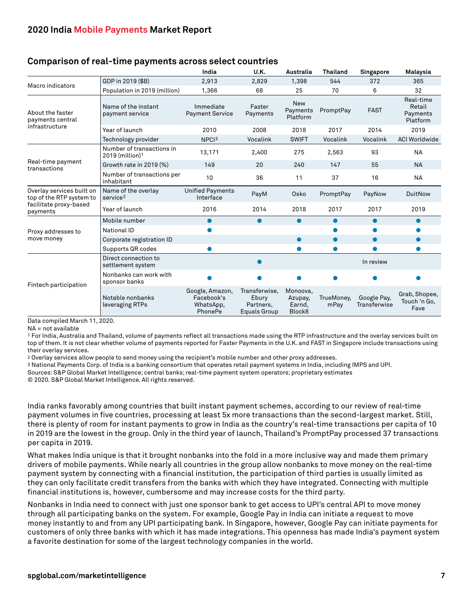#### **Comparison of real-time payments across select countries**

|                                                       |                                                            | India                                                 | U.K.                                                       | Australia                               | <b>Thailand</b>    | Singapore                   | Malaysia                                    |
|-------------------------------------------------------|------------------------------------------------------------|-------------------------------------------------------|------------------------------------------------------------|-----------------------------------------|--------------------|-----------------------------|---------------------------------------------|
| Macro indicators                                      | GDP in 2019 (\$B)                                          | 2,913                                                 | 2,829                                                      | 1,398                                   | 544                | 372                         | 365                                         |
|                                                       | Population in 2019 (million)                               | 1,366                                                 | 68                                                         | 25                                      | 70                 | 6                           | 32                                          |
| About the faster<br>payments central                  | Name of the instant<br>payment service                     | Immediate<br><b>Payment Service</b>                   | Faster<br>Payments                                         | <b>New</b><br>Payments<br>Platform      | PromptPay          | <b>FAST</b>                 | Real-time<br>Retail<br>Payments<br>Platform |
| infrastructure                                        | Year of launch                                             | 2010                                                  | 2008                                                       | 2018                                    | 2017               | 2014                        | 2019                                        |
|                                                       | Technology provider                                        | NPCI <sup>3</sup>                                     | Vocalink                                                   | <b>SWIFT</b>                            | Vocalink           | Vocalink                    | <b>ACI Worldwide</b>                        |
|                                                       | Number of transactions in<br>$2019$ (million) <sup>1</sup> | 13,171                                                | 2,400                                                      | 275                                     | 2,563              | 93                          | <b>NA</b>                                   |
| Real-time payment<br>transactions                     | Growth rate in 2019 (%)                                    | 149                                                   | 20                                                         | 240                                     | 147                | 55                          | <b>NA</b>                                   |
|                                                       | Number of transactions per<br>inhabitant                   | 10                                                    | 36                                                         | 11                                      | 37                 | 16                          | <b>NA</b>                                   |
| Overlay services built on<br>top of the RTP system to | Name of the overlay<br>service <sup>2</sup>                | <b>Unified Payments</b><br>Interface                  | PayM                                                       | Osko                                    | PromptPay          | PayNow                      | <b>DuitNow</b>                              |
| facilitate proxy-based<br>payments                    | Year of launch                                             | 2016                                                  | 2014                                                       | 2018                                    | 2017               | 2017                        | 2019                                        |
|                                                       | Mobile number                                              | $\bullet$                                             | $\bullet$                                                  | $\bullet$                               | $\bullet$          | $\bullet$                   | $\bullet$                                   |
| Proxy addresses to                                    | National ID                                                |                                                       |                                                            |                                         |                    |                             |                                             |
| move money                                            | Corporate registration ID                                  |                                                       |                                                            | $\bullet$                               | $\bullet$          | $\bullet$                   | $\bullet$                                   |
|                                                       | Supports QR codes                                          | $\bullet$                                             |                                                            | O                                       | $\bullet$          |                             | ●                                           |
|                                                       | Direct connection to<br>settlement system                  |                                                       |                                                            |                                         |                    | In review                   |                                             |
| Fintech participation                                 | Nonbanks can work with<br>sponsor banks                    |                                                       |                                                            |                                         | ●                  |                             |                                             |
|                                                       | Notable nonbanks<br>leveraging RTPs                        | Google, Amazon,<br>Facebook's<br>WhatsApp,<br>PhonePe | Transferwise.<br>Ebury<br>Partners.<br><b>Equals Group</b> | Monoova,<br>Azupay,<br>Earnd,<br>Block8 | TrueMoney,<br>mPay | Google Pay,<br>Transferwise | Grab, Shopee,<br>Touch 'n Go,<br>Fave       |

Data compiled March 11, 2020.

NA = not available

1 For India, Australia and Thailand, volume of payments reflect all transactions made using the RTP infrastructure and the overlay services built on top of them. It is not clear whether volume of payments reported for Faster Payments in the U.K. and FAST in Singapore include transactions using their overlay services.

2 Overlay services allow people to send money using the recipient's mobile number and other proxy addresses.

3 National Payments Corp. of India is a banking consortium that operates retail payment systems in India, including IMPS and UPI.

Sources: S&P Global Market Intelligence; central banks; real-time payment system operators; proprietary estimates

© 2020. S&P Global Market Intelligence. All rights reserved.

India ranks favorably among countries that built instant payment schemes, according to our review of real-time payment volumes in five countries, processing at least 5x more transactions than the second-largest market. Still, there is plenty of room for instant payments to grow in India as the country's real-time transactions per capita of 10 in 2019 are the lowest in the group. Only in the third year of launch, Thailand's PromptPay processed 37 transactions per capita in 2019.

What makes India unique is that it brought nonbanks into the fold in a more inclusive way and made them primary drivers of mobile payments. While nearly all countries in the group allow nonbanks to move money on the real-time payment system by connecting with a financial institution, the participation of third parties is usually limited as they can only facilitate credit transfers from the banks with which they have integrated. Connecting with multiple financial institutions is, however, cumbersome and may increase costs for the third party.

Nonbanks in India need to connect with just one sponsor bank to get access to UPI's central API to move money through all participating banks on the system. For example, Google Pay in India can initiate a request to move money instantly to and from any UPI participating bank. In Singapore, however, Google Pay can initiate payments for customers of only three banks with which it has made integrations. This openness has made India's payment system a favorite destination for some of the largest technology companies in the world.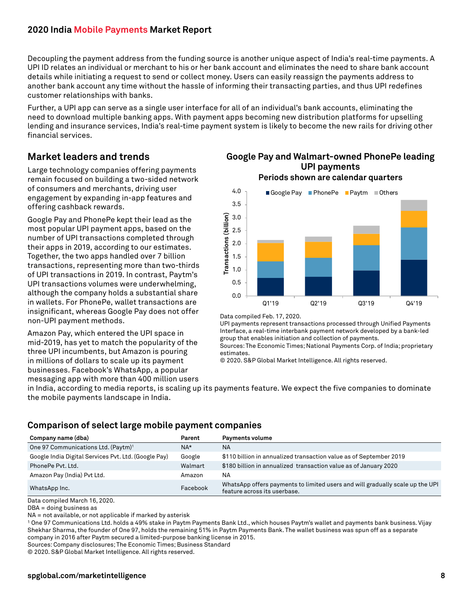Decoupling the payment address from the funding source is another unique aspect of India's real-time payments. A UPI ID relates an individual or merchant to his or her bank account and eliminates the need to share bank account details while initiating a request to send or collect money. Users can easily reassign the payments address to another bank account any time without the hassle of informing their transacting parties, and thus UPI redefines customer relationships with banks.

Further, a UPI app can serve as a single user interface for all of an individual's bank accounts, eliminating the need to download multiple banking apps. With payment apps becoming new distribution platforms for upselling lending and insurance services, India's real-time payment system is likely to become the new rails for driving other financial services.

## <span id="page-7-0"></span>**Market leaders and trends**

Large technology companies offering payments remain focused on building a two-sided network of consumers and merchants, driving user engagement by expanding in-app features and offering cashback rewards.

Google Pay and PhonePe kept their lead as the most popular UPI payment apps, based on the number of UPI transactions completed through their apps in 2019, according to our estimates. Together, the two apps handled over 7 billion transactions, representing more than two-thirds of UPI transactions in 2019. In contrast, Paytm's UPI transactions volumes were underwhelming, although the company holds a substantial share in wallets. For PhonePe, wallet transactions are insignificant, whereas Google Pay does not offer non-UPI payment methods.

Amazon Pay, which entered the UPI space in mid-2019, has yet to match the popularity of the three UPI incumbents, but Amazon is pouring in millions of dollars to scale up its payment businesses. Facebook's WhatsApp, a popular messaging app with more than 400 million users

#### **Google Pay and Walmart-owned PhonePe leading UPI payments Periods shown are calendar quarters**



Data compiled Feb. 17, 2020.

UPI payments represent transactions processed through Unified Payments Interface, a real-time interbank payment network developed by a bank-led group that enables initiation and collection of payments.

Sources: The Economic Times; National Payments Corp. of India; proprietary estimates.

© 2020. S&P Global Market Intelligence. All rights reserved.

in India, according to media reports, is scaling up its payments feature. We expect the five companies to dominate the mobile payments landscape in India.

## **Comparison of select large mobile payment companies**

| Company name (dba)                                   | Parent   | Payments volume                                                                                               |
|------------------------------------------------------|----------|---------------------------------------------------------------------------------------------------------------|
| One 97 Communications Ltd. (Paytm) <sup>1</sup>      | $NA*$    | <b>NA</b>                                                                                                     |
| Google India Digital Services Pvt. Ltd. (Google Pay) | Google   | \$110 billion in annualized transaction value as of September 2019                                            |
| PhonePe Pyt. Ltd.                                    | Walmart  | \$180 billion in annualized transaction value as of January 2020                                              |
| Amazon Pay (India) Pvt Ltd.                          | Amazon   | <b>NA</b>                                                                                                     |
| WhatsApp Inc.                                        | Facebook | WhatsApp offers payments to limited users and will gradually scale up the UPI<br>feature across its userbase. |

Data compiled March 16, 2020.

DBA = doing business as

NA = not available, or not applicable if marked by asterisk

1 One 97 Communications Ltd. holds a 49% stake in Paytm Payments Bank Ltd., which houses Paytm's wallet and payments bank business. Vijay Shekhar Sharma, the founder of One 97, holds the remaining 51% in Paytm Payments Bank. The wallet business was spun off as a separate company in 2016 after Paytm secured a limited-purpose banking license in 2015.

Sources: Company disclosures; The Economic Times; Business Standard

© 2020. S&P Global Market Intelligence. All rights reserved.

#### **spglobal.com/marketintelligence**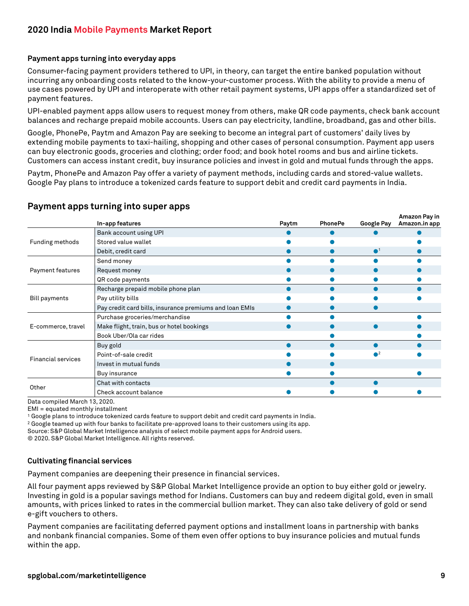#### **Payment apps turning into everyday apps**

Consumer-facing payment providers tethered to UPI, in theory, can target the entire banked population without incurring any onboarding costs related to the know-your-customer process. With the ability to provide a menu of use cases powered by UPI and interoperate with other retail payment systems, UPI apps offer a standardized set of payment features.

UPI-enabled payment apps allow users to request money from others, make QR code payments, check bank account balances and recharge prepaid mobile accounts. Users can pay electricity, landline, broadband, gas and other bills.

Google, PhonePe, Paytm and Amazon Pay are seeking to become an integral part of customers' daily lives by extending mobile payments to taxi-hailing, shopping and other cases of personal consumption. Payment app users can buy electronic goods, groceries and clothing; order food; and book hotel rooms and bus and airline tickets. Customers can access instant credit, buy insurance policies and invest in gold and mutual funds through the apps.

Paytm, PhonePe and Amazon Pay offer a variety of payment methods, including cards and stored-value wallets. Google Pay plans to introduce a tokenized cards feature to support debit and credit card payments in India.

|                           | In-app features                                         | Paytm | <b>PhonePe</b> | <b>Google Pay</b>      | Amazon Pay in<br>Amazon.in app |
|---------------------------|---------------------------------------------------------|-------|----------------|------------------------|--------------------------------|
|                           | Bank account using UPI                                  |       |                |                        |                                |
| Funding methods           | Stored value wallet                                     |       |                |                        |                                |
|                           | Debit, credit card                                      |       |                | $\bullet$ <sup>1</sup> |                                |
|                           | Send money                                              |       |                |                        |                                |
| Payment features          | Request money                                           |       |                |                        |                                |
|                           | QR code payments                                        |       |                |                        |                                |
|                           | Recharge prepaid mobile phone plan                      |       |                |                        |                                |
| <b>Bill payments</b>      | Pay utility bills                                       |       |                |                        |                                |
|                           | Pay credit card bills, insurance premiums and loan EMIs |       |                |                        |                                |
|                           | Purchase groceries/merchandise                          |       |                |                        |                                |
| E-commerce, travel        | Make flight, train, bus or hotel bookings               |       |                |                        |                                |
|                           | Book Uber/Ola car rides                                 |       |                |                        |                                |
| <b>Financial services</b> | Buy gold                                                |       |                |                        |                                |
|                           | Point-of-sale credit                                    |       |                |                        |                                |
|                           | Invest in mutual funds                                  |       |                |                        |                                |
|                           | Buy insurance                                           |       |                |                        |                                |
|                           | Chat with contacts                                      |       |                |                        |                                |
| Other                     | Check account balance                                   |       |                |                        |                                |

#### **Payment apps turning into super apps**

Data compiled March 13, 2020.

EMI = equated monthly installment

1 Google plans to introduce tokenized cards feature to support debit and credit card payments in India.

2 Google teamed up with four banks to facilitate pre-approved loans to their customers using its app.

Source: S&P Global Market Intelligence analysis of select mobile payment apps for Android users.

© 2020. S&P Global Market Intelligence. All rights reserved.

#### **Cultivating financial services**

Payment companies are deepening their presence in financial services.

All four payment apps reviewed by S&P Global Market Intelligence provide an option to buy either gold or jewelry. Investing in gold is a popular savings method for Indians. Customers can buy and redeem digital gold, even in small amounts, with prices linked to rates in the commercial bullion market. They can also take delivery of gold or send e-gift vouchers to others.

Payment companies are facilitating deferred payment options and installment loans in partnership with banks and nonbank financial companies. Some of them even offer options to buy insurance policies and mutual funds within the app.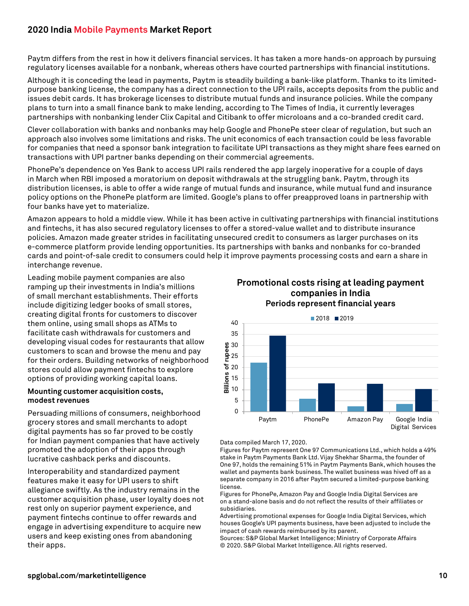Paytm differs from the rest in how it delivers financial services. It has taken a more hands-on approach by pursuing regulatory licenses available for a nonbank, whereas others have courted partnerships with financial institutions.

Although it is conceding the lead in payments, Paytm is steadily building a bank-like platform. Thanks to its limitedpurpose banking license, the company has a direct connection to the UPI rails, accepts deposits from the public and issues debit cards. It has brokerage licenses to distribute mutual funds and insurance policies. While the company plans to turn into a small finance bank to make lending, according to The Times of India, it currently leverages partnerships with nonbanking lender Clix Capital and Citibank to offer microloans and a co-branded credit card.

Clever collaboration with banks and nonbanks may help Google and PhonePe steer clear of regulation, but such an approach also involves some limitations and risks. The unit economics of each transaction could be less favorable for companies that need a sponsor bank integration to facilitate UPI transactions as they might share fees earned on transactions with UPI partner banks depending on their commercial agreements.

PhonePe's dependence on Yes Bank to access UPI rails rendered the app largely inoperative for a couple of days in March when RBI imposed a moratorium on deposit withdrawals at the struggling bank. Paytm, through its distribution licenses, is able to offer a wide range of mutual funds and insurance, while mutual fund and insurance policy options on the PhonePe platform are limited. Google's plans to offer preapproved loans in partnership with four banks have yet to materialize.

Amazon appears to hold a middle view. While it has been active in cultivating partnerships with financial institutions and fintechs, it has also secured regulatory licenses to offer a stored-value wallet and to distribute insurance policies. Amazon made greater strides in facilitating unsecured credit to consumers as larger purchases on its e-commerce platform provide lending opportunities. Its partnerships with banks and nonbanks for co-branded cards and point-of-sale credit to consumers could help it improve payments processing costs and earn a share in interchange revenue.

Leading mobile payment companies are also ramping up their investments in India's millions of small merchant establishments. Their efforts include digitizing ledger books of small stores, creating digital fronts for customers to discover them online, using small shops as ATMs to facilitate cash withdrawals for customers and developing visual codes for restaurants that allow customers to scan and browse the menu and pay for their orders. Building networks of neighborhood stores could allow payment fintechs to explore options of providing working capital loans.

#### **Mounting customer acquisition costs, modest revenues**

Persuading millions of consumers, neighborhood grocery stores and small merchants to adopt digital payments has so far proved to be costly for Indian payment companies that have actively promoted the adoption of their apps through lucrative cashback perks and discounts.

Interoperability and standardized payment features make it easy for UPI users to shift allegiance swiftly. As the industry remains in the customer acquisition phase, user loyalty does not rest only on superior payment experience, and payment fintechs continue to offer rewards and engage in advertising expenditure to acquire new users and keep existing ones from abandoning their apps.

#### **Promotional costs rising at leading payment companies in India Periods represent financial years**



#### Data compiled March 17, 2020.

Figures for Paytm represent One 97 Communications Ltd., which holds a 49% stake in Paytm Payments Bank Ltd. Vijay Shekhar Sharma, the founder of One 97, holds the remaining 51% in Paytm Payments Bank, which houses the wallet and payments bank business. The wallet business was hived off as a separate company in 2016 after Paytm secured a limited-purpose banking license.

Figures for PhonePe, Amazon Pay and Google India Digital Services are on a stand-alone basis and do not reflect the results of their affiliates or subsidiaries.

Advertising promotional expenses for Google India Digital Services, which houses Google's UPI payments business, have been adjusted to include the impact of cash rewards reimbursed by its parent.

Sources: S&P Global Market Intelligence; Ministry of Corporate Affairs © 2020. S&P Global Market Intelligence. All rights reserved.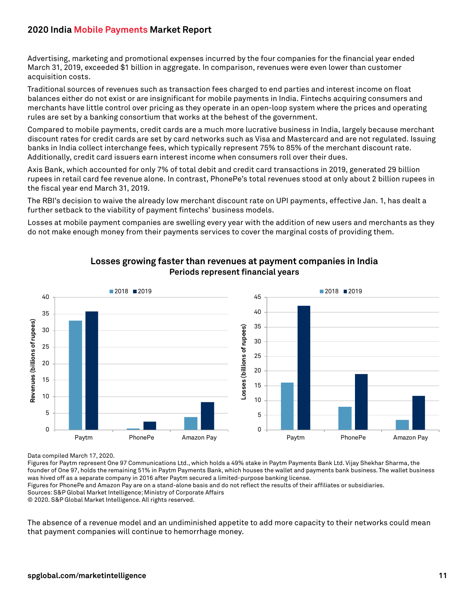Advertising, marketing and promotional expenses incurred by the four companies for the financial year ended March 31, 2019, exceeded \$1 billion in aggregate. In comparison, revenues were even lower than customer acquisition costs.

Traditional sources of revenues such as transaction fees charged to end parties and interest income on float balances either do not exist or are insignificant for mobile payments in India. Fintechs acquiring consumers and merchants have little control over pricing as they operate in an open-loop system where the prices and operating rules are set by a banking consortium that works at the behest of the government.

Compared to mobile payments, credit cards are a much more lucrative business in India, largely because merchant discount rates for credit cards are set by card networks such as Visa and Mastercard and are not regulated. Issuing banks in India collect interchange fees, which typically represent 75% to 85% of the merchant discount rate. Additionally, credit card issuers earn interest income when consumers roll over their dues.

Axis Bank, which accounted for only 7% of total debit and credit card transactions in 2019, generated 29 billion rupees in retail card fee revenue alone. In contrast, PhonePe's total revenues stood at only about 2 billion rupees in the fiscal year end March 31, 2019.

The RBI's decision to waive the already low merchant discount rate on UPI payments, effective Jan. 1, has dealt a further setback to the viability of payment fintechs' business models.

Losses at mobile payment companies are swelling every year with the addition of new users and merchants as they do not make enough money from their payments services to cover the marginal costs of providing them.



#### **Losses growing faster than revenues at payment companies in India Periods represent financial years**

Data compiled March 17, 2020.

Figures for Paytm represent One 97 Communications Ltd., which holds a 49% stake in Paytm Payments Bank Ltd. Vijay Shekhar Sharma, the founder of One 97, holds the remaining 51% in Paytm Payments Bank, which houses the wallet and payments bank business. The wallet business was hived off as a separate company in 2016 after Paytm secured a limited-purpose banking license.

Figures for PhonePe and Amazon Pay are on a stand-alone basis and do not reflect the results of their affiliates or subsidiaries.

Sources: S&P Global Market Intelligence; Ministry of Corporate Affairs

© 2020. S&P Global Market Intelligence. All rights reserved.

The absence of a revenue model and an undiminished appetite to add more capacity to their networks could mean that payment companies will continue to hemorrhage money.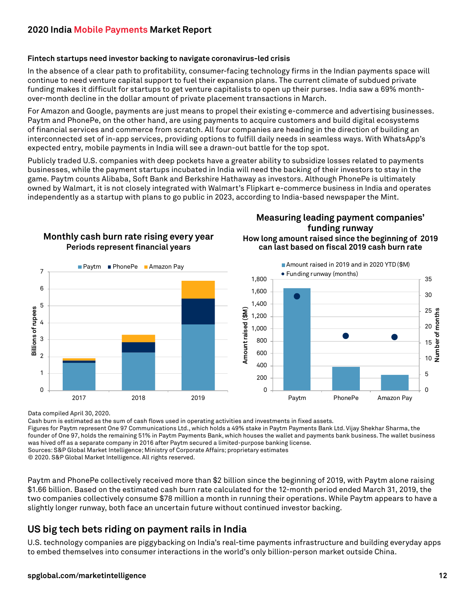#### **Fintech startups need investor backing to navigate coronavirus-led crisis**

In the absence of a clear path to profitability, consumer-facing technology firms in the Indian payments space will continue to need venture capital support to fuel their expansion plans. The current climate of subdued private funding makes it difficult for startups to get venture capitalists to open up their purses. India saw a 69% monthover-month decline in the dollar amount of private placement transactions in March.

For Amazon and Google, payments are just means to propel their existing e-commerce and advertising businesses. Paytm and PhonePe, on the other hand, are using payments to acquire customers and build digital ecosystems of financial services and commerce from scratch. All four companies are heading in the direction of building an interconnected set of in-app services, providing options to fulfill daily needs in seamless ways. With WhatsApp's expected entry, mobile payments in India will see a drawn-out battle for the top spot.

Publicly traded U.S. companies with deep pockets have a greater ability to subsidize losses related to payments businesses, while the payment startups incubated in India will need the backing of their investors to stay in the game. Paytm counts Alibaba, Soft Bank and Berkshire Hathaway as investors. Although PhonePe is ultimately owned by Walmart, it is not closely integrated with Walmart's Flipkart e-commerce business in India and operates independently as a startup with plans to go public in 2023, according to India-based newspaper the Mint.



**Monthly cash burn rate rising every year**

## **Measuring leading payment companies' funding runway**

**How long amount raised since the beginning of 2019 can last based on fiscal 2019 cash burn rate**

![](_page_11_Figure_8.jpeg)

Data compiled April 30, 2020.

Cash burn is estimated as the sum of cash flows used in operating activities and investments in fixed assets.

Figures for Paytm represent One 97 Communications Ltd., which holds a 49% stake in Paytm Payments Bank Ltd. Vijay Shekhar Sharma, the founder of One 97, holds the remaining 51% in Paytm Payments Bank, which houses the wallet and payments bank business. The wallet business was hived off as a separate company in 2016 after Paytm secured a limited-purpose banking license. Sources: S&P Global Market Intelligence; Ministry of Corporate Affairs; proprietary estimates

© 2020. S&P Global Market Intelligence. All rights reserved.

Paytm and PhonePe collectively received more than \$2 billion since the beginning of 2019, with Paytm alone raising \$1.66 billion. Based on the estimated cash burn rate calculated for the 12-month period ended March 31, 2019, the two companies collectively consume \$78 million a month in running their operations. While Paytm appears to have a slightly longer runway, both face an uncertain future without continued investor backing.

## <span id="page-11-0"></span>**US big tech bets riding on payment rails in India**

U.S. technology companies are piggybacking on India's real-time payments infrastructure and building everyday apps to embed themselves into consumer interactions in the world's only billion-person market outside China.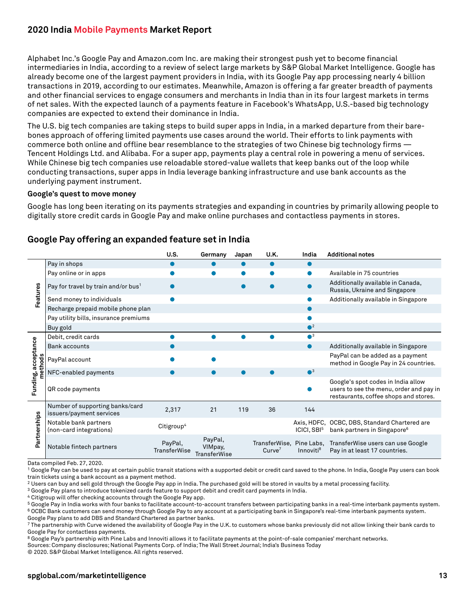Alphabet Inc.'s Google Pay and Amazon.com Inc. are making their strongest push yet to become financial intermediaries in India, according to a review of select large markets by S&P Global Market Intelligence. Google has already become one of the largest payment providers in India, with its Google Pay app processing nearly 4 billion transactions in 2019, according to our estimates. Meanwhile, Amazon is offering a far greater breadth of payments and other financial services to engage consumers and merchants in India than in its four largest markets in terms of net sales. With the expected launch of a payments feature in Facebook's WhatsApp, U.S.-based big technology companies are expected to extend their dominance in India.

The U.S. big tech companies are taking steps to build super apps in India, in a marked departure from their barebones approach of offering limited payments use cases around the world. Their efforts to link payments with commerce both online and offline bear resemblance to the strategies of two Chinese big technology firms — Tencent Holdings Ltd. and Alibaba. For a super app, payments play a central role in powering a menu of services. While Chinese big tech companies use reloadable stored-value wallets that keep banks out of the loop while conducting transactions, super apps in India leverage banking infrastructure and use bank accounts as the underlying payment instrument.

#### **Google's quest to move money**

Google has long been iterating on its payments strategies and expanding in countries by primarily allowing people to digitally store credit cards in Google Pay and make online purchases and contactless payments in stores.

|                       |                                                             | U.S.                    | Germany                                   | Japan | U.K.               | India                   | <b>Additional notes</b>                                                                                                |
|-----------------------|-------------------------------------------------------------|-------------------------|-------------------------------------------|-------|--------------------|-------------------------|------------------------------------------------------------------------------------------------------------------------|
| Features              | Pay in shops                                                |                         |                                           | ●     |                    |                         |                                                                                                                        |
|                       | Pay online or in apps                                       |                         |                                           |       |                    |                         | Available in 75 countries                                                                                              |
|                       | Pay for travel by train and/or bus <sup>1</sup>             |                         |                                           |       |                    |                         | Additionally available in Canada,<br>Russia, Ukraine and Singapore                                                     |
|                       | Send money to individuals                                   |                         |                                           |       |                    |                         | Additionally available in Singapore                                                                                    |
|                       | Recharge prepaid mobile phone plan                          |                         |                                           |       |                    |                         |                                                                                                                        |
|                       | Pay utility bills, insurance premiums                       |                         |                                           |       |                    |                         |                                                                                                                        |
|                       | Buy gold                                                    |                         |                                           |       |                    | $\bigcap$ <sup>2</sup>  |                                                                                                                        |
|                       | Debit, credit cards                                         |                         |                                           |       |                    | $^3$                    |                                                                                                                        |
|                       | <b>Bank accounts</b>                                        |                         |                                           |       |                    |                         | Additionally available in Singapore                                                                                    |
| acceptance<br>methods | PayPal account                                              |                         |                                           |       |                    |                         | PayPal can be added as a payment<br>method in Google Pay in 24 countries.                                              |
|                       | NFC-enabled payments                                        |                         |                                           |       |                    | $^3$                    |                                                                                                                        |
| Funding,              | QR code payments                                            |                         |                                           |       |                    |                         | Google's spot codes in India allow<br>users to see the menu, order and pay in<br>restaurants, coffee shops and stores. |
|                       | Number of supporting banks/card<br>issuers/payment services | 2,317                   | 21                                        | 119   | 36                 | 144                     |                                                                                                                        |
| Partnerships          | Notable bank partners<br>(non-card integrations)            | Citigroup <sup>4</sup>  |                                           |       |                    | ICICI, SBI <sup>5</sup> | Axis, HDFC, OCBC, DBS, Standard Chartered are<br>bank partners in Singapore <sup>6</sup>                               |
|                       | Notable fintech partners                                    | PayPal,<br>TransferWise | PayPal,<br>VIMpay,<br><b>TransferWise</b> |       | Curve <sup>7</sup> | Innoviti <sup>8</sup>   | TransferWise, Pine Labs, TransferWise users can use Google<br>Pay in at least 17 countries.                            |

## **Google Pay offering an expanded feature set in India**

Data compiled Feb. 27, 2020.

1 Google Pay can be used to pay at certain public transit stations with a supported debit or credit card saved to the phone. In India, Google Pay users can book train tickets using a bank account as a payment method.

2 Users can buy and sell gold through the Google Pay app in India. The purchased gold will be stored in vaults by a metal processing facility.

3 Google Pay plans to introduce tokenized cards feature to support debit and credit card payments in India.

4 Citigroup will offer checking accounts through the Google Pay app.

8 Google Pay's partnership with Pine Labs and Innoviti allows it to facilitate payments at the point-of-sale companies' merchant networks.

Sources: Company disclosures; National Payments Corp. of India; The Wall Street Journal; India's Business Today

© 2020. S&P Global Market Intelligence. All rights reserved.

<sup>&</sup>lt;sup>5</sup> Google Pay in India works with four banks to facilitate account-to-account transfers between participating banks in a real-time interbank payments system. 6 OCBC Bank customers can send money through Google Pay to any account at a participating bank in Singapore's real-time interbank payments system. Google Pay plans to add DBS and Standard Chartered as partner banks.

<sup>7</sup> The partnership with Curve widened the availability of Google Pay in the U.K. to customers whose banks previously did not allow linking their bank cards to Google Pay for contactless payments.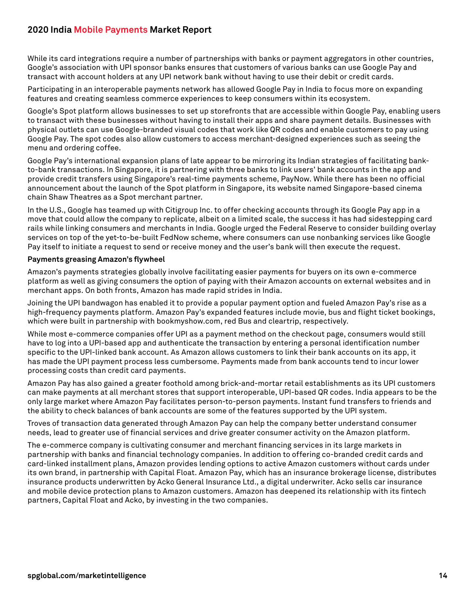While its card integrations require a number of partnerships with banks or payment aggregators in other countries, Google's association with UPI sponsor banks ensures that customers of various banks can use Google Pay and transact with account holders at any UPI network bank without having to use their debit or credit cards.

Participating in an interoperable payments network has allowed Google Pay in India to focus more on expanding features and creating seamless commerce experiences to keep consumers within its ecosystem.

Google's Spot platform allows businesses to set up storefronts that are accessible within Google Pay, enabling users to transact with these businesses without having to install their apps and share payment details. Businesses with physical outlets can use Google-branded visual codes that work like QR codes and enable customers to pay using Google Pay. The spot codes also allow customers to access merchant-designed experiences such as seeing the menu and ordering coffee.

Google Pay's international expansion plans of late appear to be mirroring its Indian strategies of facilitating bankto-bank transactions. In Singapore, it is partnering with three banks to link users' bank accounts in the app and provide credit transfers using Singapore's real-time payments scheme, PayNow. While there has been no official announcement about the launch of the Spot platform in Singapore, its website named Singapore-based cinema chain Shaw Theatres as a Spot merchant partner.

In the U.S., Google has teamed up with Citigroup Inc. to offer checking accounts through its Google Pay app in a move that could allow the company to replicate, albeit on a limited scale, the success it has had sidestepping card rails while linking consumers and merchants in India. Google urged the Federal Reserve to consider building overlay services on top of the yet-to-be-built FedNow scheme, where consumers can use nonbanking services like Google Pay itself to initiate a request to send or receive money and the user's bank will then execute the request.

#### **Payments greasing Amazon's flywheel**

Amazon's payments strategies globally involve facilitating easier payments for buyers on its own e-commerce platform as well as giving consumers the option of paying with their Amazon accounts on external websites and in merchant apps. On both fronts, Amazon has made rapid strides in India.

Joining the UPI bandwagon has enabled it to provide a popular payment option and fueled Amazon Pay's rise as a high-frequency payments platform. Amazon Pay's expanded features include movie, bus and flight ticket bookings, which were built in partnership with bookmyshow.com, red Bus and cleartrip, respectively.

While most e-commerce companies offer UPI as a payment method on the checkout page, consumers would still have to log into a UPI-based app and authenticate the transaction by entering a personal identification number specific to the UPI-linked bank account. As Amazon allows customers to link their bank accounts on its app, it has made the UPI payment process less cumbersome. Payments made from bank accounts tend to incur lower processing costs than credit card payments.

Amazon Pay has also gained a greater foothold among brick-and-mortar retail establishments as its UPI customers can make payments at all merchant stores that support interoperable, UPI-based QR codes. India appears to be the only large market where Amazon Pay facilitates person-to-person payments. Instant fund transfers to friends and the ability to check balances of bank accounts are some of the features supported by the UPI system.

Troves of transaction data generated through Amazon Pay can help the company better understand consumer needs, lead to greater use of financial services and drive greater consumer activity on the Amazon platform.

The e-commerce company is cultivating consumer and merchant financing services in its large markets in partnership with banks and financial technology companies. In addition to offering co-branded credit cards and card-linked installment plans, Amazon provides lending options to active Amazon customers without cards under its own brand, in partnership with Capital Float. Amazon Pay, which has an insurance brokerage license, distributes insurance products underwritten by Acko General Insurance Ltd., a digital underwriter. Acko sells car insurance and mobile device protection plans to Amazon customers. Amazon has deepened its relationship with its fintech partners, Capital Float and Acko, by investing in the two companies.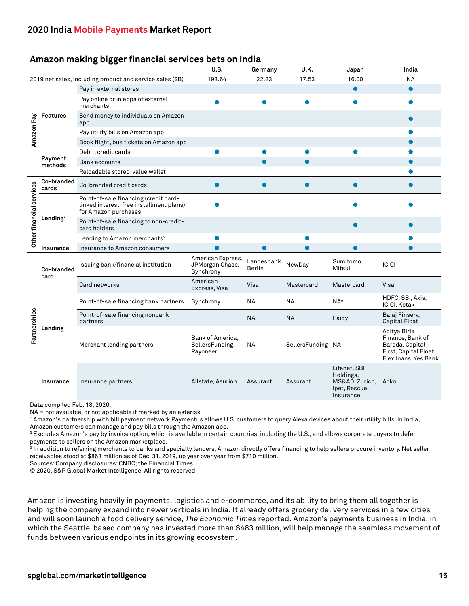#### **Amazon making bigger financial services bets on India**

|                          |                      |                                                                                                          | U.S.                                              | Germany              | U.K.              | Japan                                                                    | India                                                                                                |
|--------------------------|----------------------|----------------------------------------------------------------------------------------------------------|---------------------------------------------------|----------------------|-------------------|--------------------------------------------------------------------------|------------------------------------------------------------------------------------------------------|
|                          |                      | 2019 net sales, including product and service sales (\$B)                                                | 193.64                                            | 22.23                | 17.53             | 16.00                                                                    | <b>NA</b>                                                                                            |
| Amazon Pay               | <b>Features</b>      | Pay in external stores                                                                                   |                                                   |                      |                   |                                                                          |                                                                                                      |
|                          |                      | Pay online or in apps of external<br>merchants                                                           |                                                   |                      |                   |                                                                          |                                                                                                      |
|                          |                      | Send money to individuals on Amazon<br>app                                                               |                                                   |                      |                   |                                                                          |                                                                                                      |
|                          |                      | Pay utility bills on Amazon app <sup>1</sup>                                                             |                                                   |                      |                   |                                                                          |                                                                                                      |
|                          |                      | Book flight, bus tickets on Amazon app                                                                   |                                                   |                      |                   |                                                                          |                                                                                                      |
|                          | Payment<br>methods   | Debit, credit cards                                                                                      |                                                   |                      |                   |                                                                          |                                                                                                      |
|                          |                      | <b>Bank accounts</b>                                                                                     |                                                   |                      |                   |                                                                          |                                                                                                      |
|                          |                      | Reloadable stored-value wallet                                                                           |                                                   |                      |                   |                                                                          |                                                                                                      |
| Other financial services | Co-branded<br>cards  | Co-branded credit cards                                                                                  |                                                   |                      | $\bullet$         |                                                                          |                                                                                                      |
|                          | Lending <sup>2</sup> | Point-of-sale financing (credit card-<br>linked interest-free installment plans)<br>for Amazon purchases |                                                   |                      |                   |                                                                          |                                                                                                      |
|                          |                      | Point-of-sale financing to non-credit-<br>card holders                                                   |                                                   |                      |                   |                                                                          |                                                                                                      |
|                          |                      | Lending to Amazon merchants <sup>3</sup>                                                                 |                                                   |                      |                   |                                                                          |                                                                                                      |
|                          | <b>Insurance</b>     | Insurance to Amazon consumers                                                                            |                                                   |                      |                   |                                                                          |                                                                                                      |
|                          | Co-branded<br>card   | Issuing bank/financial institution                                                                       | American Express,<br>JPMorgan Chase,<br>Synchrony | Landesbank<br>Berlin | NewDay            | Sumitomo<br>Mitsui                                                       | <b>ICICI</b>                                                                                         |
|                          |                      | Card networks                                                                                            | American<br>Express, Visa                         | Visa                 | Mastercard        | Mastercard                                                               | Visa                                                                                                 |
|                          | Lending              | Point-of-sale financing bank partners                                                                    | Synchrony                                         | NA                   | NA                | NA*                                                                      | HDFC, SBI, Axis,<br><b>ICICI, Kotak</b>                                                              |
| Partnerships             |                      | Point-of-sale financing nonbank<br>partners                                                              |                                                   | <b>NA</b>            | <b>NA</b>         | Paidy                                                                    | Bajaj Finserv,<br>Capital Float                                                                      |
|                          |                      | Merchant lending partners                                                                                | Bank of America,<br>SellersFunding,<br>Payoneer   | <b>NA</b>            | SellersFunding NA |                                                                          | Aditya Birla<br>Finance, Bank of<br>Baroda, Capital<br>First, Capital Float,<br>Flexiloans, Yes Bank |
|                          | <b>Insurance</b>     | Insurance partners                                                                                       | Allstate, Asurion                                 | Assurant             | Assurant          | Lifenet, SBI<br>Holdings,<br>MS&AD, Zurich,<br>Ipet, Rescue<br>Insurance | Acko                                                                                                 |

Data compiled Feb. 18, 2020.

NA = not available, or not applicable if marked by an asterisk

1 Amazon's partnership with bill payment network Paymentus allows U.S. customers to query Alexa devices about their utility bills. In India, Amazon customers can manage and pay bills through the Amazon app.

 $^{\rm 2}$  Excludes Amazon's pay by invoice option, which is available in certain countries, including the U.S., and allows corporate buyers to defer payments to sellers on the Amazon marketplace.

 $^{\rm 3}$  In addition to referring merchants to banks and specialty lenders, Amazon directly offers financing to help sellers procure inventory. Net seller receivables stood at \$863 million as of Dec. 31, 2019, up year over year from \$710 million.

Sources: Company disclosures; CNBC; the Financial Times

© 2020. S&P Global Market Intelligence. All rights reserved.

Amazon is investing heavily in payments, logistics and e-commerce, and its ability to bring them all together is helping the company expand into newer verticals in India. It already offers grocery delivery services in a few cities and will soon launch a food delivery service, *The Economic Times* reported. Amazon's payments business in India, in which the Seattle-based company has invested more than \$483 million, will help manage the seamless movement of funds between various endpoints in its growing ecosystem.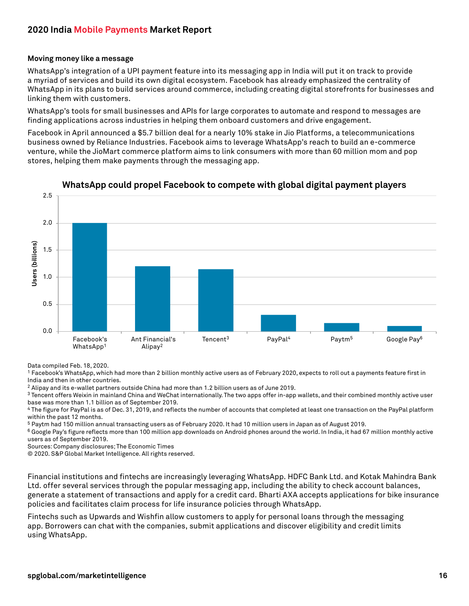#### **Moving money like a message**

WhatsApp's integration of a UPI payment feature into its messaging app in India will put it on track to provide a myriad of services and build its own digital ecosystem. Facebook has already emphasized the centrality of WhatsApp in its plans to build services around commerce, including creating digital storefronts for businesses and linking them with customers.

WhatsApp's tools for small businesses and APIs for large corporates to automate and respond to messages are finding applications across industries in helping them onboard customers and drive engagement.

Facebook in April announced a \$5.7 billion deal for a nearly 10% stake in Jio Platforms, a telecommunications business owned by Reliance Industries. Facebook aims to leverage WhatsApp's reach to build an e-commerce venture, while the JioMart commerce platform aims to link consumers with more than 60 million mom and pop stores, helping them make payments through the messaging app.

![](_page_15_Figure_5.jpeg)

#### **WhatsApp could propel Facebook to compete with global digital payment players**

Data compiled Feb. 18, 2020.

1 Facebook's WhatsApp, which had more than 2 billion monthly active users as of February 2020, expects to roll out a payments feature first in India and then in other countries.

2 Alipay and its e-wallet partners outside China had more than 1.2 billion users as of June 2019.

<sup>3</sup> Tencent offers Weixin in mainland China and WeChat internationally. The two apps offer in-app wallets, and their combined monthly active user base was more than 1.1 billion as of September 2019.

4 The figure for PayPal is as of Dec. 31, 2019, and reflects the number of accounts that completed at least one transaction on the PayPal platform within the past 12 months.

5 Paytm had 150 million annual transacting users as of February 2020. It had 10 million users in Japan as of August 2019.

 $6$  Google Pay's figure reflects more than 100 million app downloads on Android phones around the world. In India, it had 67 million monthly active users as of September 2019.

Sources: Company disclosures; The Economic Times

© 2020. S&P Global Market Intelligence. All rights reserved.

Financial institutions and fintechs are increasingly leveraging WhatsApp. HDFC Bank Ltd. and Kotak Mahindra Bank Ltd. offer several services through the popular messaging app, including the ability to check account balances, generate a statement of transactions and apply for a credit card. Bharti AXA accepts applications for bike insurance policies and facilitates claim process for life insurance policies through WhatsApp.

Fintechs such as Upwards and Wishfin allow customers to apply for personal loans through the messaging app. Borrowers can chat with the companies, submit applications and discover eligibility and credit limits using WhatsApp.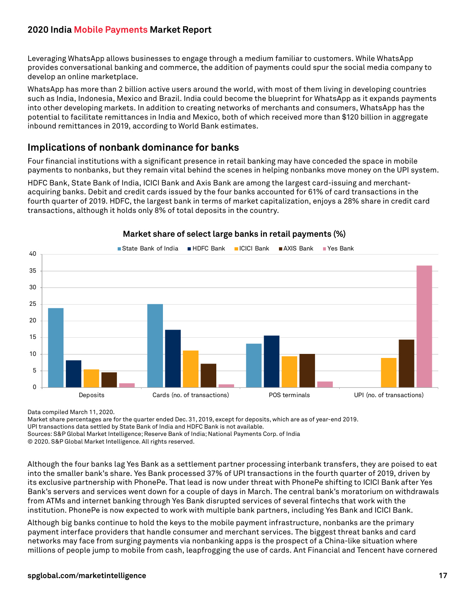Leveraging WhatsApp allows businesses to engage through a medium familiar to customers. While WhatsApp provides conversational banking and commerce, the addition of payments could spur the social media company to develop an online marketplace.

WhatsApp has more than 2 billion active users around the world, with most of them living in developing countries such as India, Indonesia, Mexico and Brazil. India could become the blueprint for WhatsApp as it expands payments into other developing markets. In addition to creating networks of merchants and consumers, WhatsApp has the potential to facilitate remittances in India and Mexico, both of which received more than \$120 billion in aggregate inbound remittances in 2019, according to World Bank estimates.

## <span id="page-16-0"></span>**Implications of nonbank dominance for banks**

Four financial institutions with a significant presence in retail banking may have conceded the space in mobile payments to nonbanks, but they remain vital behind the scenes in helping nonbanks move money on the UPI system.

HDFC Bank, State Bank of India, ICICI Bank and Axis Bank are among the largest card-issuing and merchantacquiring banks. Debit and credit cards issued by the four banks accounted for 61% of card transactions in the fourth quarter of 2019. HDFC, the largest bank in terms of market capitalization, enjoys a 28% share in credit card transactions, although it holds only 8% of total deposits in the country.

![](_page_16_Figure_6.jpeg)

#### **Market share of select large banks in retail payments (%)**

Data compiled March 11, 2020.

Market share percentages are for the quarter ended Dec. 31, 2019, except for deposits, which are as of year-end 2019.

UPI transactions data settled by State Bank of India and HDFC Bank is not available.

Sources: S&P Global Market Intelligence; Reserve Bank of India; National Payments Corp. of India

© 2020. S&P Global Market Intelligence. All rights reserved.

Although the four banks lag Yes Bank as a settlement partner processing interbank transfers, they are poised to eat into the smaller bank's share. Yes Bank processed 37% of UPI transactions in the fourth quarter of 2019, driven by its exclusive partnership with PhonePe. That lead is now under threat with PhonePe shifting to ICICI Bank after Yes Bank's servers and services went down for a couple of days in March. The central bank's moratorium on withdrawals from ATMs and internet banking through Yes Bank disrupted services of several fintechs that work with the institution. PhonePe is now expected to work with multiple bank partners, including Yes Bank and ICICI Bank.

Although big banks continue to hold the keys to the mobile payment infrastructure, nonbanks are the primary payment interface providers that handle consumer and merchant services. The biggest threat banks and card networks may face from surging payments via nonbanking apps is the prospect of a China-like situation where millions of people jump to mobile from cash, leapfrogging the use of cards. Ant Financial and Tencent have cornered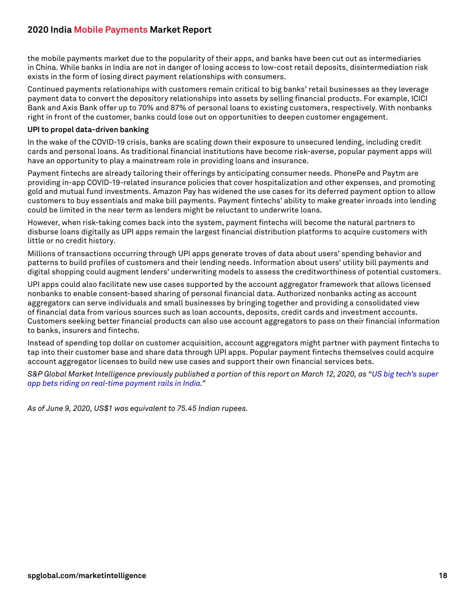the mobile payments market due to the popularity of their apps, and banks have been cut out as intermediaries in China. While banks in India are not in danger of losing access to low-cost retail deposits, disintermediation risk exists in the form of losing direct payment relationships with consumers.

Continued payments relationships with customers remain critical to big banks' retail businesses as they leverage payment data to convert the depository relationships into assets by selling financial products. For example, ICICI Bank and Axis Bank offer up to 70% and 87% of personal loans to existing customers, respectively. With nonbanks right in front of the customer, banks could lose out on opportunities to deepen customer engagement.

#### **UPI to propel data-driven banking**

In the wake of the COVID-19 crisis, banks are scaling down their exposure to unsecured lending, including credit cards and personal loans. As traditional financial institutions have become risk-averse, popular payment apps will have an opportunity to play a mainstream role in providing loans and insurance.

Payment fintechs are already tailoring their offerings by anticipating consumer needs. PhonePe and Paytm are providing in-app COVID-19-related insurance policies that cover hospitalization and other expenses, and promoting gold and mutual fund investments. Amazon Pay has widened the use cases for its deferred payment option to allow customers to buy essentials and make bill payments. Payment fintechs' ability to make greater inroads into lending could be limited in the near term as lenders might be reluctant to underwrite loans.

However, when risk-taking comes back into the system, payment fintechs will become the natural partners to disburse loans digitally as UPI apps remain the largest financial distribution platforms to acquire customers with little or no credit history.

Millions of transactions occurring through UPI apps generate troves of data about users' spending behavior and patterns to build profiles of customers and their lending needs. Information about users' utility bill payments and digital shopping could augment lenders' underwriting models to assess the creditworthiness of potential customers.

UPI apps could also facilitate new use cases supported by the account aggregator framework that allows licensed nonbanks to enable consent-based sharing of personal financial data. Authorized nonbanks acting as account aggregators can serve individuals and small businesses by bringing together and providing a consolidated view of financial data from various sources such as loan accounts, deposits, credit cards and investment accounts. Customers seeking better financial products can also use account aggregators to pass on their financial information to banks, insurers and fintechs.

Instead of spending top dollar on customer acquisition, account aggregators might partner with payment fintechs to tap into their customer base and share data through UPI apps. Popular payment fintechs themselves could acquire account aggregator licenses to build new use cases and support their own financial services bets.

*S&P Global Market Intelligence previously published a portion of this report on March 12, 2020, as "[US big tech's super](https://platform.marketintelligence.spglobal.com/web/client?#news/article?id=57473020)  [app bets riding on real-time payment rails in India.](https://platform.marketintelligence.spglobal.com/web/client?#news/article?id=57473020)"*

*As of June 9, 2020, US\$1 was equivalent to 75.45 Indian rupees.*